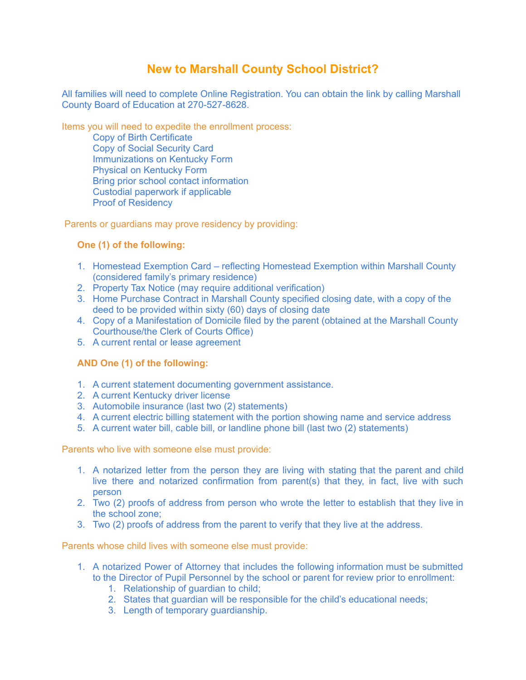# **New to Marshall County School District?**

All families will need to complete Online Registration. You can obtain the link by calling Marshall County Board of Education at 270-527-8628.

Items you will need to expedite the enrollment process:

Copy of Birth Certificate Copy of Social Security Card Immunizations on Kentucky Form Physical on Kentucky Form Bring prior school contact information Custodial paperwork if applicable Proof of Residency

Parents or guardians may prove residency by providing:

## **One (1) of the following:**

- 1. Homestead Exemption Card reflecting Homestead Exemption within Marshall County (considered family's primary residence)
- 2. Property Tax Notice (may require additional verification)
- 3. Home Purchase Contract in Marshall County specified closing date, with a copy of the deed to be provided within sixty (60) days of closing date
- 4. Copy of a Manifestation of Domicile filed by the parent (obtained at the Marshall County Courthouse/the Clerk of Courts Office)
- 5. A current rental or lease agreement

## **AND One (1) of the following:**

- 1. A current statement documenting government assistance.
- 2. A current Kentucky driver license
- 3. Automobile insurance (last two (2) statements)
- 4. A current electric billing statement with the portion showing name and service address
- 5. A current water bill, cable bill, or landline phone bill (last two (2) statements)

Parents who live with someone else must provide:

- 1. A notarized letter from the person they are living with stating that the parent and child live there and notarized confirmation from parent(s) that they, in fact, live with such person
- 2. Two (2) proofs of address from person who wrote the letter to establish that they live in the school zone;
- 3. Two (2) proofs of address from the parent to verify that they live at the address.

Parents whose child lives with someone else must provide:

- 1. A notarized Power of Attorney that includes the following information must be submitted to the Director of Pupil Personnel by the school or parent for review prior to enrollment:
	- 1. Relationship of guardian to child;
	- 2. States that guardian will be responsible for the child's educational needs;
	- 3. Length of temporary guardianship.